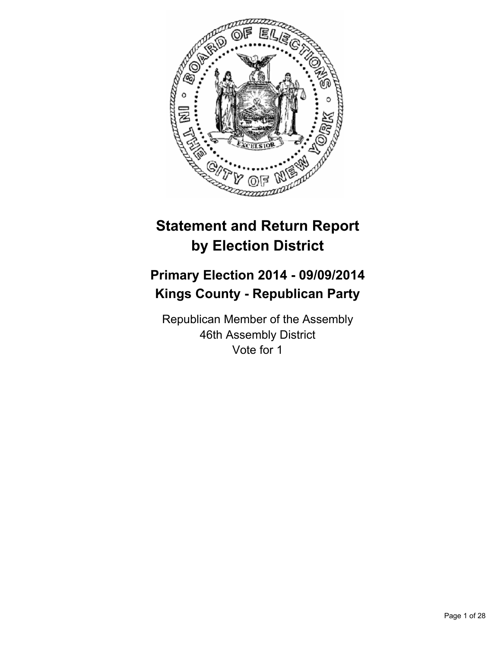

# **Statement and Return Report by Election District**

# **Primary Election 2014 - 09/09/2014 Kings County - Republican Party**

Republican Member of the Assembly 46th Assembly District Vote for 1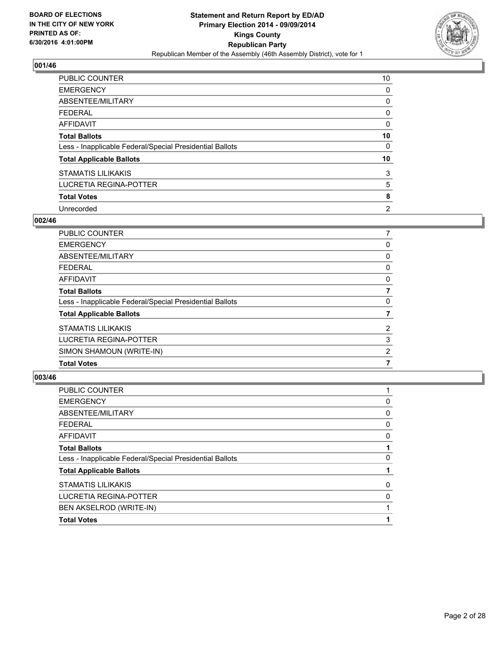

| <b>PUBLIC COUNTER</b>                                    | 10             |
|----------------------------------------------------------|----------------|
| <b>EMERGENCY</b>                                         | 0              |
| ABSENTEE/MILITARY                                        | 0              |
| <b>FEDERAL</b>                                           | 0              |
| <b>AFFIDAVIT</b>                                         | 0              |
| <b>Total Ballots</b>                                     | 10             |
| Less - Inapplicable Federal/Special Presidential Ballots | 0              |
| <b>Total Applicable Ballots</b>                          | 10             |
| <b>STAMATIS LILIKAKIS</b>                                | 3              |
| LUCRETIA REGINA-POTTER                                   | 5              |
| <b>Total Votes</b>                                       | 8              |
| Unrecorded                                               | $\overline{2}$ |

#### **002/46**

| SIMON SHAMOUN (WRITE-IN)<br><b>Total Votes</b>           | 2              |
|----------------------------------------------------------|----------------|
| LUCRETIA REGINA-POTTER                                   | 3              |
| <b>STAMATIS LILIKAKIS</b>                                | $\overline{2}$ |
| <b>Total Applicable Ballots</b>                          |                |
| Less - Inapplicable Federal/Special Presidential Ballots | 0              |
| <b>Total Ballots</b>                                     | 7              |
| <b>AFFIDAVIT</b>                                         | 0              |
| <b>FEDERAL</b>                                           | 0              |
| <b>ABSENTEE/MILITARY</b>                                 | 0              |
| <b>EMERGENCY</b>                                         | 0              |
| <b>PUBLIC COUNTER</b>                                    | 7              |

| <b>AFFIDAVIT</b>                                         | 0 |
|----------------------------------------------------------|---|
| <b>Total Ballots</b>                                     |   |
| Less - Inapplicable Federal/Special Presidential Ballots | 0 |
| <b>Total Applicable Ballots</b>                          |   |
| <b>STAMATIS LILIKAKIS</b>                                | 0 |
| LUCRETIA REGINA-POTTER                                   | 0 |
| BEN AKSELROD (WRITE-IN)                                  |   |
| <b>Total Votes</b>                                       |   |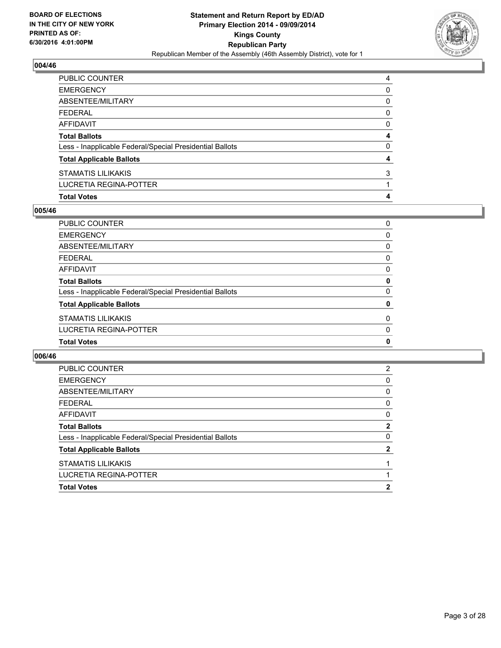

| <b>Total Votes</b>                                       | 4 |
|----------------------------------------------------------|---|
| LUCRETIA REGINA-POTTER                                   |   |
| STAMATIS LILIKAKIS                                       | 3 |
| <b>Total Applicable Ballots</b>                          | 4 |
| Less - Inapplicable Federal/Special Presidential Ballots | 0 |
| <b>Total Ballots</b>                                     | 4 |
| AFFIDAVIT                                                | 0 |
| <b>FEDERAL</b>                                           | 0 |
| ABSENTEE/MILITARY                                        | 0 |
| <b>EMERGENCY</b>                                         | 0 |
| PUBLIC COUNTER                                           | 4 |

## **005/46**

| PUBLIC COUNTER                                           | 0 |
|----------------------------------------------------------|---|
| <b>EMERGENCY</b>                                         | 0 |
| ABSENTEE/MILITARY                                        | 0 |
| <b>FEDERAL</b>                                           | 0 |
| AFFIDAVIT                                                | 0 |
| <b>Total Ballots</b>                                     | 0 |
| Less - Inapplicable Federal/Special Presidential Ballots | 0 |
| <b>Total Applicable Ballots</b>                          | 0 |
| STAMATIS LILIKAKIS                                       | 0 |
| LUCRETIA REGINA-POTTER                                   | 0 |
| <b>Total Votes</b>                                       | 0 |

| <b>PUBLIC COUNTER</b>                                    | 2 |
|----------------------------------------------------------|---|
| <b>EMERGENCY</b>                                         | 0 |
| ABSENTEE/MILITARY                                        | 0 |
| <b>FEDERAL</b>                                           | 0 |
| AFFIDAVIT                                                | 0 |
| <b>Total Ballots</b>                                     | 2 |
| Less - Inapplicable Federal/Special Presidential Ballots | 0 |
| <b>Total Applicable Ballots</b>                          | 2 |
| <b>STAMATIS LILIKAKIS</b>                                |   |
| LUCRETIA REGINA-POTTER                                   |   |
| <b>Total Votes</b>                                       | 2 |
|                                                          |   |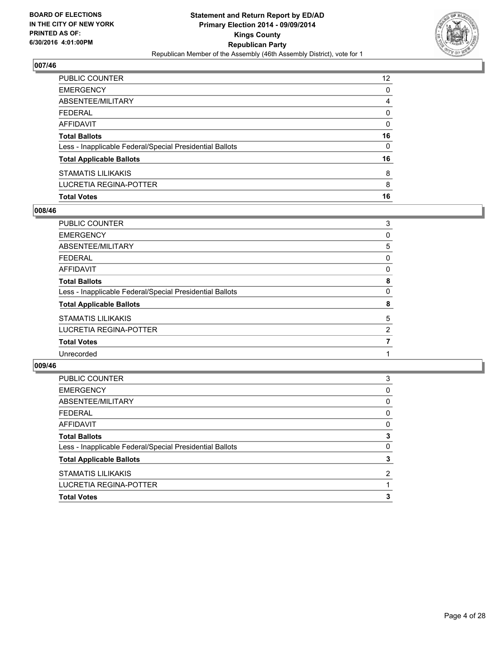

| PUBLIC COUNTER                                           | 12 <sup>2</sup> |
|----------------------------------------------------------|-----------------|
| <b>EMERGENCY</b>                                         | 0               |
| ABSENTEE/MILITARY                                        | 4               |
| <b>FEDERAL</b>                                           | 0               |
| <b>AFFIDAVIT</b>                                         | 0               |
| <b>Total Ballots</b>                                     | 16              |
| Less - Inapplicable Federal/Special Presidential Ballots | 0               |
| <b>Total Applicable Ballots</b>                          | 16              |
| <b>STAMATIS LILIKAKIS</b>                                | 8               |
| LUCRETIA REGINA-POTTER                                   | 8               |
| <b>Total Votes</b>                                       | 16              |

## **008/46**

| PUBLIC COUNTER                                           | 3 |
|----------------------------------------------------------|---|
| <b>EMERGENCY</b>                                         | 0 |
| ABSENTEE/MILITARY                                        | 5 |
| <b>FEDERAL</b>                                           | 0 |
| AFFIDAVIT                                                | 0 |
| <b>Total Ballots</b>                                     | 8 |
| Less - Inapplicable Federal/Special Presidential Ballots | 0 |
| <b>Total Applicable Ballots</b>                          | 8 |
| <b>STAMATIS LILIKAKIS</b>                                | 5 |
| <b>LUCRETIA REGINA-POTTER</b>                            | 2 |
| <b>Total Votes</b>                                       |   |
| Unrecorded                                               |   |
|                                                          |   |

| <b>Total Votes</b>                                       | 3              |
|----------------------------------------------------------|----------------|
| <b>LUCRETIA REGINA-POTTER</b>                            |                |
| <b>STAMATIS LILIKAKIS</b>                                | $\overline{2}$ |
| <b>Total Applicable Ballots</b>                          | 3              |
| Less - Inapplicable Federal/Special Presidential Ballots | 0              |
| <b>Total Ballots</b>                                     | 3              |
| <b>AFFIDAVIT</b>                                         | 0              |
| <b>FEDERAL</b>                                           | 0              |
| ABSENTEE/MILITARY                                        | 0              |
| <b>EMERGENCY</b>                                         | 0              |
| PUBLIC COUNTER                                           | 3              |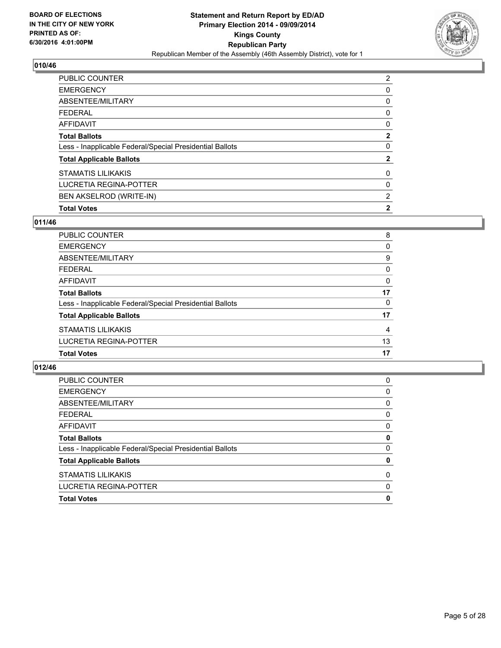

| <b>PUBLIC COUNTER</b>                                    | 2            |
|----------------------------------------------------------|--------------|
| <b>EMERGENCY</b>                                         | 0            |
| ABSENTEE/MILITARY                                        | 0            |
| <b>FEDERAL</b>                                           | 0            |
| <b>AFFIDAVIT</b>                                         | 0            |
| <b>Total Ballots</b>                                     | 2            |
| Less - Inapplicable Federal/Special Presidential Ballots | 0            |
| <b>Total Applicable Ballots</b>                          | 2            |
| <b>STAMATIS LILIKAKIS</b>                                | 0            |
| <b>LUCRETIA REGINA-POTTER</b>                            | 0            |
| BEN AKSELROD (WRITE-IN)                                  | 2            |
| <b>Total Votes</b>                                       | $\mathbf{2}$ |

## **011/46**

| PUBLIC COUNTER                                           | 8              |
|----------------------------------------------------------|----------------|
| <b>EMERGENCY</b>                                         | 0              |
| ABSENTEE/MILITARY                                        | 9              |
| <b>FEDERAL</b>                                           | 0              |
| <b>AFFIDAVIT</b>                                         | 0              |
| <b>Total Ballots</b>                                     | 17             |
| Less - Inapplicable Federal/Special Presidential Ballots | 0              |
| <b>Total Applicable Ballots</b>                          | 17             |
| <b>STAMATIS LILIKAKIS</b>                                | $\overline{4}$ |
| LUCRETIA REGINA-POTTER                                   | 13             |
| <b>Total Votes</b>                                       | 17             |
|                                                          |                |

| 0 |
|---|
| 0 |
| 0 |
| 0 |
| 0 |
| 0 |
| 0 |
| 0 |
| 0 |
| 0 |
| 0 |
|   |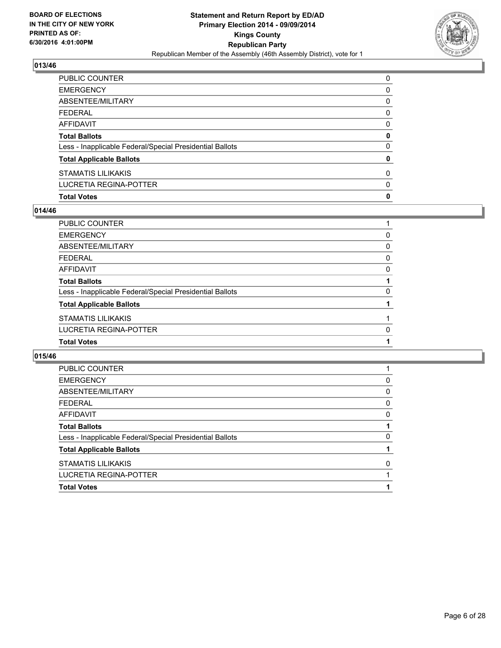

| PUBLIC COUNTER                                           | 0            |
|----------------------------------------------------------|--------------|
| EMERGENCY                                                | 0            |
| ABSENTEE/MILITARY                                        | 0            |
| FEDERAL                                                  | $\mathbf{0}$ |
| AFFIDAVIT                                                | 0            |
| Total Ballots                                            | 0            |
| Less - Inapplicable Federal/Special Presidential Ballots | $\mathbf{0}$ |
| <b>Total Applicable Ballots</b>                          | 0            |
| STAMATIS LILIKAKIS                                       | 0            |
| LUCRETIA REGINA-POTTER                                   | 0            |
| <b>Total Votes</b>                                       | $\mathbf 0$  |

## **014/46**

| PUBLIC COUNTER                                           |   |
|----------------------------------------------------------|---|
| <b>EMERGENCY</b>                                         | 0 |
| <b>ABSENTEE/MILITARY</b>                                 | 0 |
| <b>FEDERAL</b>                                           | 0 |
| <b>AFFIDAVIT</b>                                         | 0 |
| <b>Total Ballots</b>                                     |   |
| Less - Inapplicable Federal/Special Presidential Ballots | 0 |
| <b>Total Applicable Ballots</b>                          |   |
| <b>STAMATIS LILIKAKIS</b>                                |   |
| <b>LUCRETIA REGINA-POTTER</b>                            | 0 |
| <b>Total Votes</b>                                       |   |

| PUBLIC COUNTER                                           |   |
|----------------------------------------------------------|---|
| <b>EMERGENCY</b>                                         | 0 |
| ABSENTEE/MILITARY                                        | 0 |
| <b>FEDERAL</b>                                           | 0 |
| AFFIDAVIT                                                | 0 |
| <b>Total Ballots</b>                                     |   |
| Less - Inapplicable Federal/Special Presidential Ballots | 0 |
| <b>Total Applicable Ballots</b>                          |   |
| <b>STAMATIS LILIKAKIS</b>                                | 0 |
| LUCRETIA REGINA-POTTER                                   |   |
| <b>Total Votes</b>                                       |   |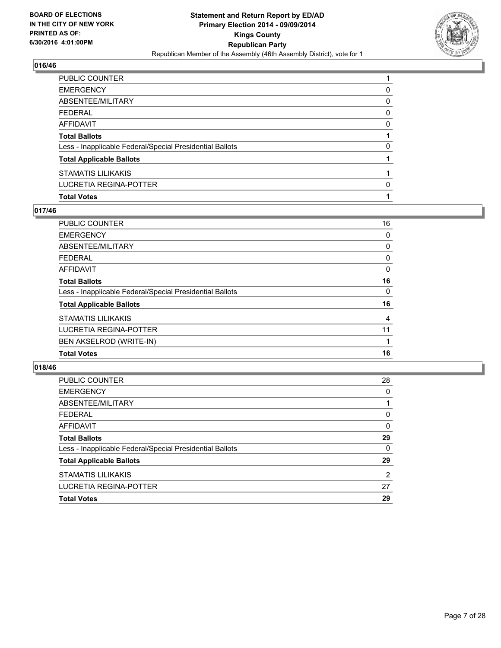

| PUBLIC COUNTER                                           |          |
|----------------------------------------------------------|----------|
| EMERGENCY                                                | 0        |
| ABSENTEE/MILITARY                                        | 0        |
| FEDERAL                                                  | 0        |
| AFFIDAVIT                                                | 0        |
| <b>Total Ballots</b>                                     |          |
| Less - Inapplicable Federal/Special Presidential Ballots | $\Omega$ |
| <b>Total Applicable Ballots</b>                          |          |
| STAMATIS LILIKAKIS                                       |          |
| LUCRETIA REGINA-POTTER                                   | 0        |
| <b>Total Votes</b>                                       |          |

#### **017/46**

| <b>PUBLIC COUNTER</b>                                    | 16             |
|----------------------------------------------------------|----------------|
| <b>EMERGENCY</b>                                         | 0              |
| <b>ABSENTEE/MILITARY</b>                                 | 0              |
| <b>FEDERAL</b>                                           | 0              |
| <b>AFFIDAVIT</b>                                         | 0              |
| <b>Total Ballots</b>                                     | 16             |
| Less - Inapplicable Federal/Special Presidential Ballots | 0              |
| <b>Total Applicable Ballots</b>                          | 16             |
| <b>STAMATIS LILIKAKIS</b>                                | $\overline{4}$ |
| LUCRETIA REGINA-POTTER                                   | 11             |
| <b>BEN AKSELROD (WRITE-IN)</b>                           |                |
| <b>Total Votes</b>                                       | 16             |
|                                                          |                |

| PUBLIC COUNTER                                           | 28 |
|----------------------------------------------------------|----|
| <b>EMERGENCY</b>                                         | 0  |
| ABSENTEE/MILITARY                                        |    |
| <b>FEDERAL</b>                                           | 0  |
| AFFIDAVIT                                                | 0  |
| <b>Total Ballots</b>                                     | 29 |
| Less - Inapplicable Federal/Special Presidential Ballots | 0  |
| <b>Total Applicable Ballots</b>                          | 29 |
| <b>STAMATIS LILIKAKIS</b>                                | 2  |
| LUCRETIA REGINA-POTTER                                   | 27 |
| <b>Total Votes</b>                                       | 29 |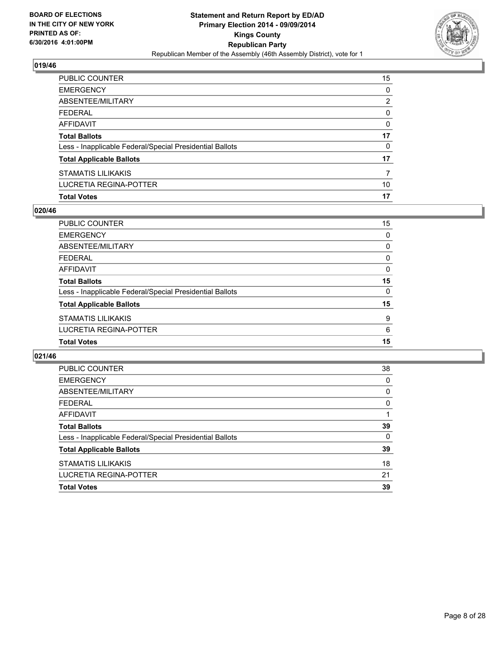

| PUBLIC COUNTER                                           | 15 |
|----------------------------------------------------------|----|
| <b>EMERGENCY</b>                                         | 0  |
| ABSENTEE/MILITARY                                        | 2  |
| <b>FEDERAL</b>                                           | 0  |
| AFFIDAVIT                                                | 0  |
| <b>Total Ballots</b>                                     | 17 |
| Less - Inapplicable Federal/Special Presidential Ballots | 0  |
| <b>Total Applicable Ballots</b>                          | 17 |
| STAMATIS LILIKAKIS                                       | 7  |
| LUCRETIA REGINA-POTTER                                   | 10 |
| <b>Total Votes</b>                                       | 17 |

## **020/46**

| PUBLIC COUNTER                                           | 15       |
|----------------------------------------------------------|----------|
| <b>EMERGENCY</b>                                         | 0        |
| ABSENTEE/MILITARY                                        | 0        |
| <b>FEDERAL</b>                                           | 0        |
| <b>AFFIDAVIT</b>                                         | $\Omega$ |
| <b>Total Ballots</b>                                     | 15       |
| Less - Inapplicable Federal/Special Presidential Ballots | $\Omega$ |
| <b>Total Applicable Ballots</b>                          | 15       |
| <b>STAMATIS LILIKAKIS</b>                                | 9        |
| <b>LUCRETIA REGINA-POTTER</b>                            | 6        |
| <b>Total Votes</b>                                       | 15       |

| <b>PUBLIC COUNTER</b>                                    | 38 |
|----------------------------------------------------------|----|
| <b>EMERGENCY</b>                                         | 0  |
| ABSENTEE/MILITARY                                        | 0  |
| <b>FEDERAL</b>                                           | 0  |
| AFFIDAVIT                                                |    |
| <b>Total Ballots</b>                                     | 39 |
| Less - Inapplicable Federal/Special Presidential Ballots | 0  |
| <b>Total Applicable Ballots</b>                          | 39 |
| <b>STAMATIS LILIKAKIS</b>                                | 18 |
| LUCRETIA REGINA-POTTER                                   | 21 |
| <b>Total Votes</b>                                       | 39 |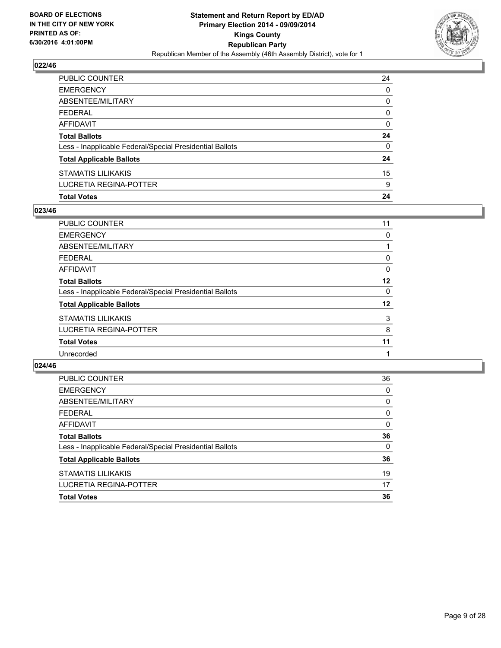

| PUBLIC COUNTER                                           | 24           |
|----------------------------------------------------------|--------------|
| <b>EMERGENCY</b>                                         | $\Omega$     |
| ABSENTEE/MILITARY                                        | 0            |
| <b>FEDERAL</b>                                           | $\mathbf{0}$ |
| AFFIDAVIT                                                | 0            |
| <b>Total Ballots</b>                                     | 24           |
| Less - Inapplicable Federal/Special Presidential Ballots | $\mathbf{0}$ |
| <b>Total Applicable Ballots</b>                          | 24           |
| STAMATIS LILIKAKIS                                       | 15           |
| LUCRETIA REGINA-POTTER                                   | 9            |
| <b>Total Votes</b>                                       | 24           |

## **023/46**

| <b>PUBLIC COUNTER</b>                                    | 11      |
|----------------------------------------------------------|---------|
| <b>EMERGENCY</b>                                         | 0       |
| ABSENTEE/MILITARY                                        |         |
| <b>FEDERAL</b>                                           | 0       |
| <b>AFFIDAVIT</b>                                         | 0       |
| <b>Total Ballots</b>                                     | $12 \,$ |
| Less - Inapplicable Federal/Special Presidential Ballots | 0       |
| <b>Total Applicable Ballots</b>                          | 12      |
| <b>STAMATIS LILIKAKIS</b>                                | 3       |
| LUCRETIA REGINA-POTTER                                   | 8       |
| <b>Total Votes</b>                                       | 11      |
| Unrecorded                                               |         |
|                                                          |         |

| PUBLIC COUNTER                                           | 36 |
|----------------------------------------------------------|----|
| <b>EMERGENCY</b>                                         | 0  |
| ABSENTEE/MILITARY                                        | 0  |
| <b>FEDERAL</b>                                           | 0  |
| <b>AFFIDAVIT</b>                                         | 0  |
| <b>Total Ballots</b>                                     | 36 |
| Less - Inapplicable Federal/Special Presidential Ballots | 0  |
| <b>Total Applicable Ballots</b>                          | 36 |
| <b>STAMATIS LILIKAKIS</b>                                | 19 |
| <b>LUCRETIA REGINA-POTTER</b>                            | 17 |
| <b>Total Votes</b>                                       | 36 |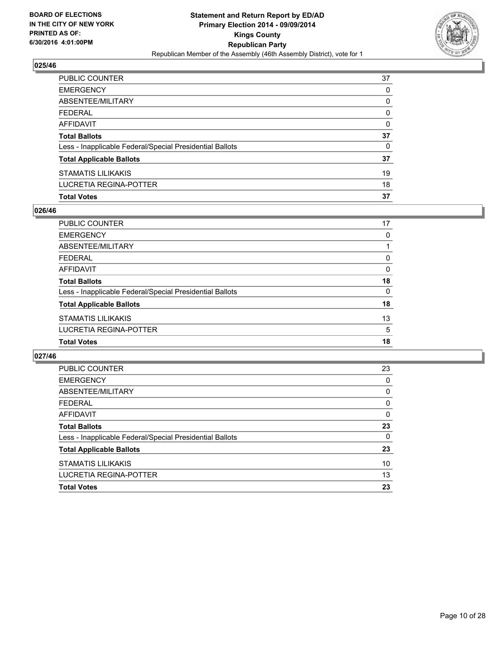

| PUBLIC COUNTER                                           | 37 |
|----------------------------------------------------------|----|
| <b>EMERGENCY</b>                                         | 0  |
| ABSENTEE/MILITARY                                        | 0  |
| <b>FEDERAL</b>                                           | 0  |
| <b>AFFIDAVIT</b>                                         | 0  |
| <b>Total Ballots</b>                                     | 37 |
| Less - Inapplicable Federal/Special Presidential Ballots | 0  |
| <b>Total Applicable Ballots</b>                          | 37 |
| <b>STAMATIS LILIKAKIS</b>                                | 19 |
| LUCRETIA REGINA-POTTER                                   | 18 |
| <b>Total Votes</b>                                       | 37 |

## **026/46**

| PUBLIC COUNTER                                           | 17       |
|----------------------------------------------------------|----------|
| <b>EMERGENCY</b>                                         | 0        |
| ABSENTEE/MILITARY                                        |          |
| <b>FEDERAL</b>                                           | 0        |
| <b>AFFIDAVIT</b>                                         | 0        |
| <b>Total Ballots</b>                                     | 18       |
| Less - Inapplicable Federal/Special Presidential Ballots | $\Omega$ |
| <b>Total Applicable Ballots</b>                          | 18       |
| <b>STAMATIS LILIKAKIS</b>                                | 13       |
| LUCRETIA REGINA-POTTER                                   | 5        |
| <b>Total Votes</b>                                       | 18       |

| PUBLIC COUNTER                                           | 23 |
|----------------------------------------------------------|----|
| <b>EMERGENCY</b>                                         | 0  |
| ABSENTEE/MILITARY                                        | 0  |
| FEDERAL                                                  | 0  |
| AFFIDAVIT                                                | 0  |
| <b>Total Ballots</b>                                     | 23 |
| Less - Inapplicable Federal/Special Presidential Ballots | 0  |
| <b>Total Applicable Ballots</b>                          | 23 |
| <b>STAMATIS LILIKAKIS</b>                                | 10 |
| <b>LUCRETIA REGINA-POTTER</b>                            | 13 |
| <b>Total Votes</b>                                       | 23 |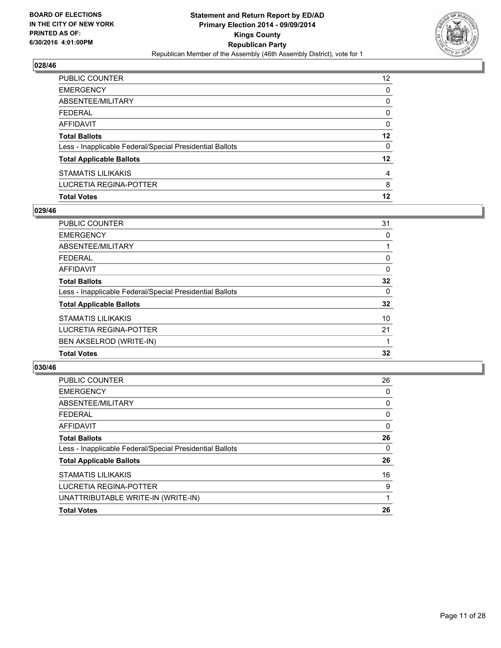

| PUBLIC COUNTER                                           | 12 <sup>2</sup> |
|----------------------------------------------------------|-----------------|
| <b>EMERGENCY</b>                                         | 0               |
| ABSENTEE/MILITARY                                        | 0               |
| <b>FEDERAL</b>                                           | $\Omega$        |
| AFFIDAVIT                                                | 0               |
| <b>Total Ballots</b>                                     | 12              |
| Less - Inapplicable Federal/Special Presidential Ballots | 0               |
| <b>Total Applicable Ballots</b>                          | $12 \,$         |
| STAMATIS LILIKAKIS                                       | 4               |
| LUCRETIA REGINA-POTTER                                   | 8               |
| <b>Total Votes</b>                                       | 12              |

## **029/46**

| PUBLIC COUNTER                                           | 31 |
|----------------------------------------------------------|----|
| <b>EMERGENCY</b>                                         | 0  |
| ABSENTEE/MILITARY                                        |    |
| <b>FEDERAL</b>                                           | 0  |
| <b>AFFIDAVIT</b>                                         | 0  |
| <b>Total Ballots</b>                                     | 32 |
| Less - Inapplicable Federal/Special Presidential Ballots | 0  |
| <b>Total Applicable Ballots</b>                          | 32 |
| <b>STAMATIS LILIKAKIS</b>                                | 10 |
| LUCRETIA REGINA-POTTER                                   | 21 |
| <b>BEN AKSELROD (WRITE-IN)</b>                           |    |
| <b>Total Votes</b>                                       | 32 |
|                                                          |    |

| PUBLIC COUNTER                                           | 26 |
|----------------------------------------------------------|----|
| <b>EMERGENCY</b>                                         | 0  |
| ABSENTEE/MILITARY                                        | 0  |
| <b>FEDERAL</b>                                           | 0  |
| AFFIDAVIT                                                | 0  |
| <b>Total Ballots</b>                                     | 26 |
| Less - Inapplicable Federal/Special Presidential Ballots | 0  |
| <b>Total Applicable Ballots</b>                          | 26 |
| <b>STAMATIS LILIKAKIS</b>                                | 16 |
| LUCRETIA REGINA-POTTER                                   | 9  |
| UNATTRIBUTABLE WRITE-IN (WRITE-IN)                       |    |
| <b>Total Votes</b>                                       | 26 |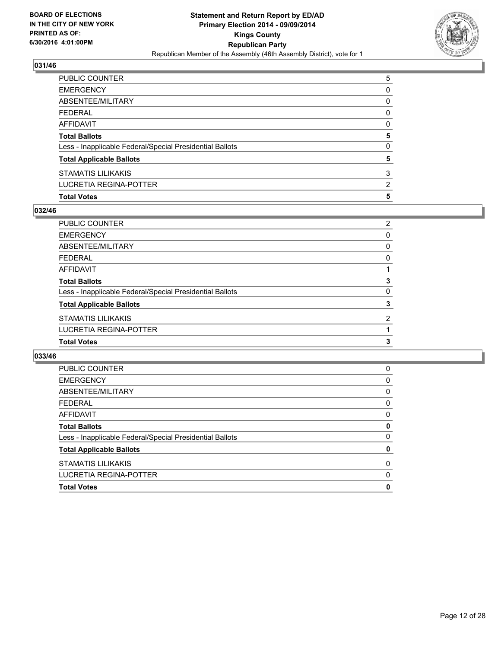

| PUBLIC COUNTER                                           | 5              |
|----------------------------------------------------------|----------------|
| EMERGENCY                                                | 0              |
| ABSENTEE/MILITARY                                        | 0              |
| FEDERAL                                                  | $\mathbf{0}$   |
| AFFIDAVIT                                                | 0              |
| <b>Total Ballots</b>                                     | 5              |
| Less - Inapplicable Federal/Special Presidential Ballots | 0              |
| <b>Total Applicable Ballots</b>                          | 5              |
| STAMATIS LILIKAKIS                                       | 3              |
| LUCRETIA REGINA-POTTER                                   | $\overline{2}$ |
| <b>Total Votes</b>                                       | 5              |

## **032/46**

| PUBLIC COUNTER                                           | $\overline{2}$ |
|----------------------------------------------------------|----------------|
| <b>EMERGENCY</b>                                         | 0              |
| ABSENTEE/MILITARY                                        | 0              |
| <b>FEDERAL</b>                                           | 0              |
| AFFIDAVIT                                                |                |
| <b>Total Ballots</b>                                     | 3              |
| Less - Inapplicable Federal/Special Presidential Ballots | 0              |
| <b>Total Applicable Ballots</b>                          | 3              |
| STAMATIS LILIKAKIS                                       | 2              |
| LUCRETIA REGINA-POTTER                                   |                |
| <b>Total Votes</b>                                       | 3              |

| PUBLIC COUNTER                                           | 0 |
|----------------------------------------------------------|---|
|                                                          |   |
| <b>EMERGENCY</b>                                         | 0 |
| ABSENTEE/MILITARY                                        | 0 |
| <b>FEDERAL</b>                                           | 0 |
| AFFIDAVIT                                                | 0 |
| <b>Total Ballots</b>                                     | 0 |
| Less - Inapplicable Federal/Special Presidential Ballots | 0 |
| <b>Total Applicable Ballots</b>                          | 0 |
| <b>STAMATIS LILIKAKIS</b>                                | 0 |
| <b>LUCRETIA REGINA-POTTER</b>                            | 0 |
| <b>Total Votes</b>                                       | 0 |
|                                                          |   |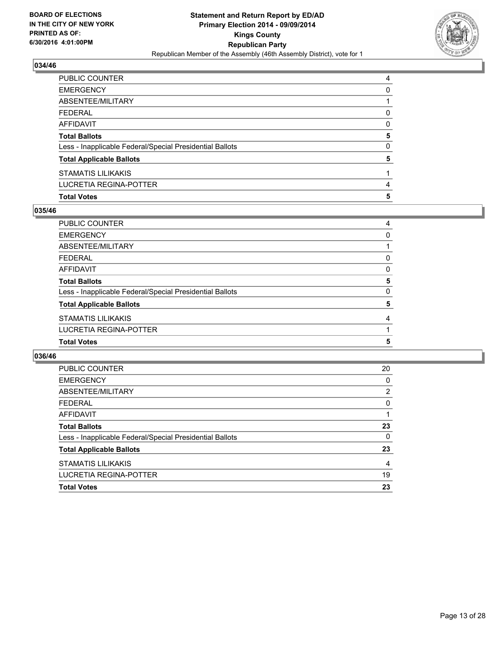

| <b>Total Votes</b>                                       | 5 |
|----------------------------------------------------------|---|
| LUCRETIA REGINA-POTTER                                   | 4 |
| STAMATIS LILIKAKIS                                       |   |
| <b>Total Applicable Ballots</b>                          | 5 |
| Less - Inapplicable Federal/Special Presidential Ballots | 0 |
| <b>Total Ballots</b>                                     | 5 |
| AFFIDAVIT                                                | 0 |
| <b>FEDERAL</b>                                           | 0 |
| ABSENTEE/MILITARY                                        |   |
| <b>EMERGENCY</b>                                         | 0 |
| PUBLIC COUNTER                                           | 4 |

## **035/46**

| PUBLIC COUNTER                                           | 4 |
|----------------------------------------------------------|---|
| <b>EMERGENCY</b>                                         | 0 |
| ABSENTEE/MILITARY                                        |   |
| <b>FEDERAL</b>                                           | 0 |
| <b>AFFIDAVIT</b>                                         | 0 |
| <b>Total Ballots</b>                                     | 5 |
| Less - Inapplicable Federal/Special Presidential Ballots | 0 |
| <b>Total Applicable Ballots</b>                          | 5 |
| <b>STAMATIS LILIKAKIS</b>                                | 4 |
| LUCRETIA REGINA-POTTER                                   |   |
| <b>Total Votes</b>                                       | 5 |

| <b>PUBLIC COUNTER</b>                                    | 20             |
|----------------------------------------------------------|----------------|
| <b>EMERGENCY</b>                                         | 0              |
| ABSENTEE/MILITARY                                        | $\overline{2}$ |
| <b>FEDERAL</b>                                           | 0              |
| AFFIDAVIT                                                |                |
| <b>Total Ballots</b>                                     | 23             |
| Less - Inapplicable Federal/Special Presidential Ballots | 0              |
| <b>Total Applicable Ballots</b>                          | 23             |
| <b>STAMATIS LILIKAKIS</b>                                | 4              |
| LUCRETIA REGINA-POTTER                                   | 19             |
| <b>Total Votes</b>                                       | 23             |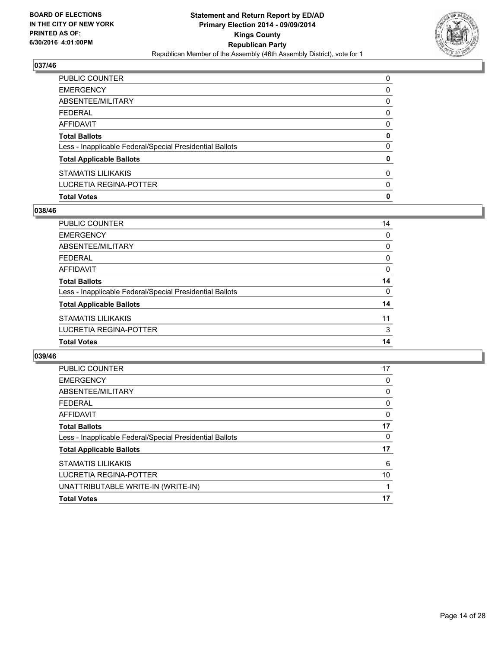

| PUBLIC COUNTER                                           | 0            |
|----------------------------------------------------------|--------------|
| EMERGENCY                                                | 0            |
| ABSENTEE/MILITARY                                        | 0            |
| FEDERAL                                                  | 0            |
| AFFIDAVIT                                                | 0            |
| <b>Total Ballots</b>                                     | 0            |
| Less - Inapplicable Federal/Special Presidential Ballots | $\mathbf{0}$ |
| <b>Total Applicable Ballots</b>                          | 0            |
| STAMATIS LILIKAKIS                                       | $\mathbf{0}$ |
| LUCRETIA REGINA-POTTER                                   | $\mathbf{0}$ |
| <b>Total Votes</b>                                       | 0            |

## **038/46**

| PUBLIC COUNTER                                           | 14 |
|----------------------------------------------------------|----|
| <b>EMERGENCY</b>                                         | 0  |
| ABSENTEE/MILITARY                                        | 0  |
| <b>FEDERAL</b>                                           | 0  |
| <b>AFFIDAVIT</b>                                         | 0  |
| <b>Total Ballots</b>                                     | 14 |
| Less - Inapplicable Federal/Special Presidential Ballots | 0  |
| <b>Total Applicable Ballots</b>                          | 14 |
| <b>STAMATIS LILIKAKIS</b>                                | 11 |
| LUCRETIA REGINA-POTTER                                   | 3  |
| <b>Total Votes</b>                                       | 14 |

| <b>PUBLIC COUNTER</b>                                    | 17 |
|----------------------------------------------------------|----|
| <b>EMERGENCY</b>                                         | 0  |
| ABSENTEE/MILITARY                                        | 0  |
| <b>FEDERAL</b>                                           | 0  |
| AFFIDAVIT                                                | 0  |
| <b>Total Ballots</b>                                     | 17 |
| Less - Inapplicable Federal/Special Presidential Ballots | 0  |
| <b>Total Applicable Ballots</b>                          | 17 |
| <b>STAMATIS LILIKAKIS</b>                                | 6  |
| LUCRETIA REGINA-POTTER                                   | 10 |
| UNATTRIBUTABLE WRITE-IN (WRITE-IN)                       |    |
| <b>Total Votes</b>                                       | 17 |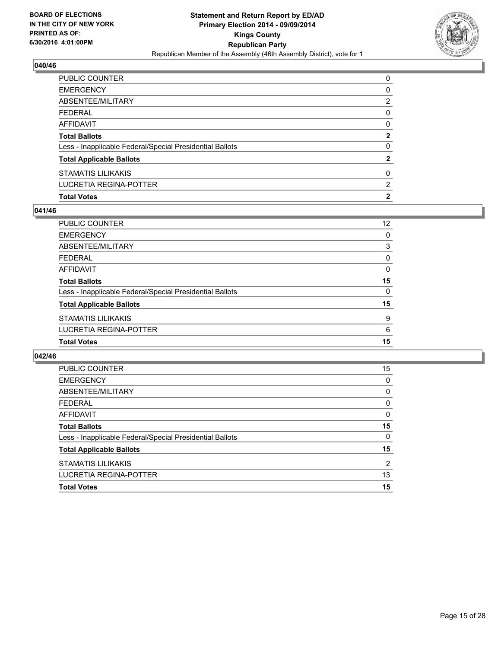

| PUBLIC COUNTER                                           | 0              |
|----------------------------------------------------------|----------------|
| EMERGENCY                                                | 0              |
| ABSENTEE/MILITARY                                        | 2              |
| FEDERAL                                                  | $\mathbf{0}$   |
| AFFIDAVIT                                                | 0              |
| Total Ballots                                            | $\mathbf{2}$   |
| Less - Inapplicable Federal/Special Presidential Ballots | 0              |
| <b>Total Applicable Ballots</b>                          | $\mathbf{2}$   |
| STAMATIS LILIKAKIS                                       | 0              |
| LUCRETIA REGINA-POTTER                                   | 2              |
| <b>Total Votes</b>                                       | $\overline{2}$ |

## **041/46**

| PUBLIC COUNTER                                           | $12 \overline{ }$ |
|----------------------------------------------------------|-------------------|
| <b>EMERGENCY</b>                                         | 0                 |
| ABSENTEE/MILITARY                                        | 3                 |
| <b>FEDERAL</b>                                           | 0                 |
| <b>AFFIDAVIT</b>                                         | 0                 |
| <b>Total Ballots</b>                                     | 15                |
| Less - Inapplicable Federal/Special Presidential Ballots | 0                 |
| <b>Total Applicable Ballots</b>                          | 15                |
| <b>STAMATIS LILIKAKIS</b>                                | 9                 |
| LUCRETIA REGINA-POTTER                                   | 6                 |
| <b>Total Votes</b>                                       | 15                |

| PUBLIC COUNTER                                           | 15             |
|----------------------------------------------------------|----------------|
| <b>EMERGENCY</b>                                         | 0              |
| ABSENTEE/MILITARY                                        | 0              |
| <b>FEDERAL</b>                                           | 0              |
| AFFIDAVIT                                                | 0              |
| <b>Total Ballots</b>                                     | 15             |
| Less - Inapplicable Federal/Special Presidential Ballots | 0              |
| <b>Total Applicable Ballots</b>                          | 15             |
| <b>STAMATIS LILIKAKIS</b>                                | $\overline{2}$ |
| LUCRETIA REGINA-POTTER                                   | 13             |
| <b>Total Votes</b>                                       | 15             |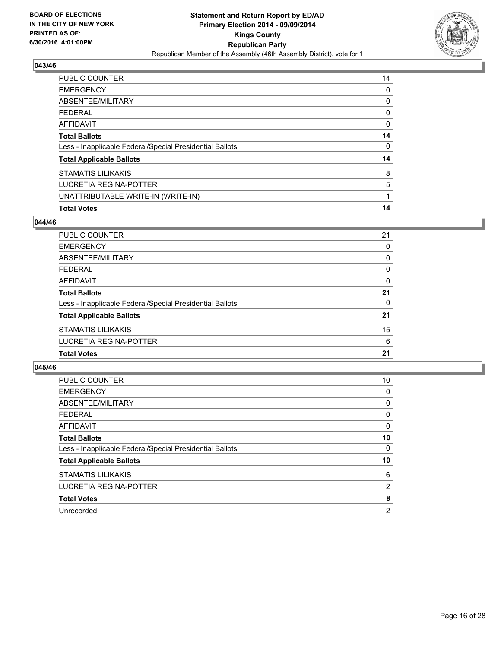

| <b>PUBLIC COUNTER</b>                                    | 14 |
|----------------------------------------------------------|----|
| <b>EMERGENCY</b>                                         | 0  |
| ABSENTEE/MILITARY                                        | 0  |
| <b>FEDERAL</b>                                           | 0  |
| <b>AFFIDAVIT</b>                                         | 0  |
| <b>Total Ballots</b>                                     | 14 |
| Less - Inapplicable Federal/Special Presidential Ballots | 0  |
| <b>Total Applicable Ballots</b>                          | 14 |
| <b>STAMATIS LILIKAKIS</b>                                | 8  |
| <b>LUCRETIA REGINA-POTTER</b>                            | 5  |
| UNATTRIBUTABLE WRITE-IN (WRITE-IN)                       | 1  |
| <b>Total Votes</b>                                       | 14 |

#### **044/46**

| PUBLIC COUNTER                                           | 21       |
|----------------------------------------------------------|----------|
| <b>EMERGENCY</b>                                         | 0        |
| ABSENTEE/MILITARY                                        | 0        |
| <b>FEDERAL</b>                                           | 0        |
| <b>AFFIDAVIT</b>                                         | $\Omega$ |
| <b>Total Ballots</b>                                     | 21       |
| Less - Inapplicable Federal/Special Presidential Ballots | 0        |
| <b>Total Applicable Ballots</b>                          | 21       |
| <b>STAMATIS LILIKAKIS</b>                                | 15       |
| <b>LUCRETIA REGINA-POTTER</b>                            | 6        |
| <b>Total Votes</b>                                       | 21       |
|                                                          |          |

| <b>PUBLIC COUNTER</b>                                    | 10 |
|----------------------------------------------------------|----|
| <b>EMERGENCY</b>                                         | 0  |
| ABSENTEE/MILITARY                                        | 0  |
| <b>FEDERAL</b>                                           | 0  |
| AFFIDAVIT                                                | 0  |
| <b>Total Ballots</b>                                     | 10 |
| Less - Inapplicable Federal/Special Presidential Ballots | 0  |
| <b>Total Applicable Ballots</b>                          | 10 |
| <b>STAMATIS LILIKAKIS</b>                                | 6  |
| LUCRETIA REGINA-POTTER                                   | 2  |
| <b>Total Votes</b>                                       | 8  |
| Unrecorded                                               | 2  |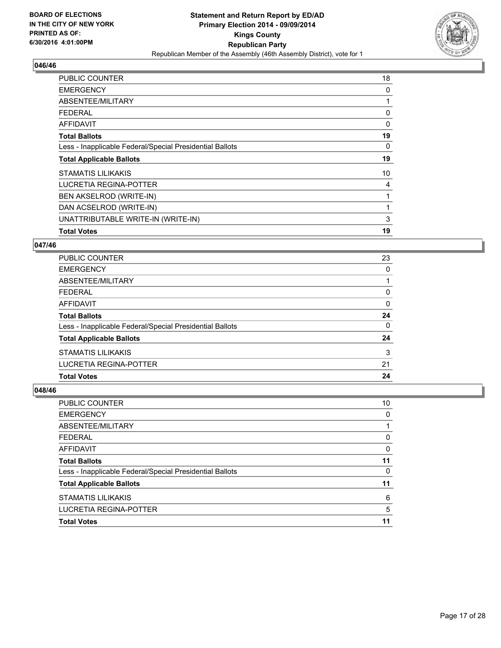

| <b>PUBLIC COUNTER</b>                                    | 18           |
|----------------------------------------------------------|--------------|
| <b>EMERGENCY</b>                                         | 0            |
| ABSENTEE/MILITARY                                        |              |
| <b>FEDERAL</b>                                           | 0            |
| AFFIDAVIT                                                | 0            |
| <b>Total Ballots</b>                                     | 19           |
| Less - Inapplicable Federal/Special Presidential Ballots | 0            |
| <b>Total Applicable Ballots</b>                          | 19           |
| <b>STAMATIS LILIKAKIS</b>                                | 10           |
| LUCRETIA REGINA-POTTER                                   | 4            |
| <b>BEN AKSELROD (WRITE-IN)</b>                           | 1            |
| DAN ACSELROD (WRITE-IN)                                  | $\mathbf{1}$ |
| UNATTRIBUTABLE WRITE-IN (WRITE-IN)                       | 3            |
| <b>Total Votes</b>                                       | 19           |

#### **047/46**

| PUBLIC COUNTER                                           | 23 |
|----------------------------------------------------------|----|
| <b>EMERGENCY</b>                                         | 0  |
| ABSENTEE/MILITARY                                        |    |
| FEDERAL                                                  | 0  |
| AFFIDAVIT                                                | 0  |
| <b>Total Ballots</b>                                     | 24 |
| Less - Inapplicable Federal/Special Presidential Ballots | 0  |
| <b>Total Applicable Ballots</b>                          | 24 |
| <b>STAMATIS LILIKAKIS</b>                                | 3  |
| LUCRETIA REGINA-POTTER                                   | 21 |
| <b>Total Votes</b>                                       | 24 |

| <b>PUBLIC COUNTER</b>                                    | 10 |
|----------------------------------------------------------|----|
| <b>EMERGENCY</b>                                         | 0  |
| ABSENTEE/MILITARY                                        |    |
| <b>FEDERAL</b>                                           | 0  |
| <b>AFFIDAVIT</b>                                         | 0  |
| <b>Total Ballots</b>                                     | 11 |
| Less - Inapplicable Federal/Special Presidential Ballots | 0  |
| <b>Total Applicable Ballots</b>                          | 11 |
| <b>STAMATIS LILIKAKIS</b>                                | 6  |
| <b>LUCRETIA REGINA-POTTER</b>                            | 5  |
| <b>Total Votes</b>                                       | 11 |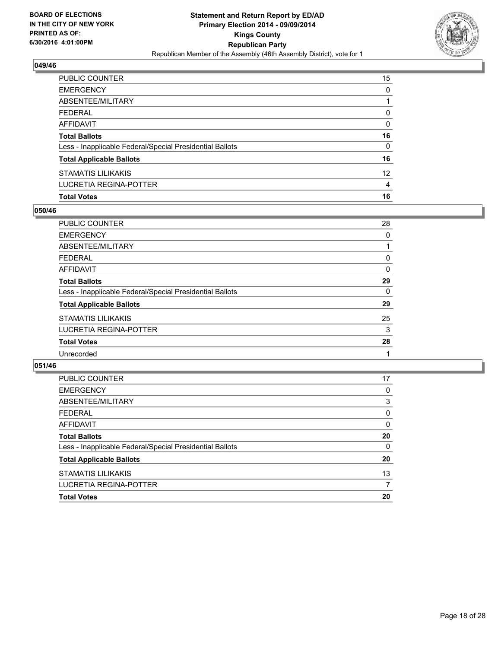

| PUBLIC COUNTER                                           | 15 <sup>15</sup> |
|----------------------------------------------------------|------------------|
| EMERGENCY                                                | $\mathbf{0}$     |
| ABSENTEE/MILITARY                                        |                  |
| FEDERAL                                                  | $\mathbf{0}$     |
| AFFIDAVIT                                                | $\mathbf{0}$     |
| Total Ballots                                            | 16               |
| Less - Inapplicable Federal/Special Presidential Ballots | 0                |
| <b>Total Applicable Ballots</b>                          | 16               |
| STAMATIS LILIKAKIS                                       | 12 <sup>2</sup>  |
| LUCRETIA REGINA-POTTER                                   | 4                |
| <b>Total Votes</b>                                       | 16               |

## **050/46**

| <b>PUBLIC COUNTER</b>                                    | 28 |
|----------------------------------------------------------|----|
| <b>EMERGENCY</b>                                         | 0  |
| <b>ABSENTEE/MILITARY</b>                                 |    |
| <b>FEDERAL</b>                                           | 0  |
| <b>AFFIDAVIT</b>                                         | 0  |
| <b>Total Ballots</b>                                     | 29 |
| Less - Inapplicable Federal/Special Presidential Ballots | 0  |
| <b>Total Applicable Ballots</b>                          | 29 |
| <b>STAMATIS LILIKAKIS</b>                                | 25 |
| LUCRETIA REGINA-POTTER                                   | 3  |
| <b>Total Votes</b>                                       | 28 |
| Unrecorded                                               |    |
|                                                          |    |

| PUBLIC COUNTER                                           | 17 |
|----------------------------------------------------------|----|
| <b>EMERGENCY</b>                                         | 0  |
| ABSENTEE/MILITARY                                        | 3  |
| <b>FEDERAL</b>                                           | 0  |
| AFFIDAVIT                                                | 0  |
| <b>Total Ballots</b>                                     | 20 |
| Less - Inapplicable Federal/Special Presidential Ballots | 0  |
| <b>Total Applicable Ballots</b>                          | 20 |
| <b>STAMATIS LILIKAKIS</b>                                | 13 |
| <b>LUCRETIA REGINA-POTTER</b>                            | 7  |
| <b>Total Votes</b>                                       | 20 |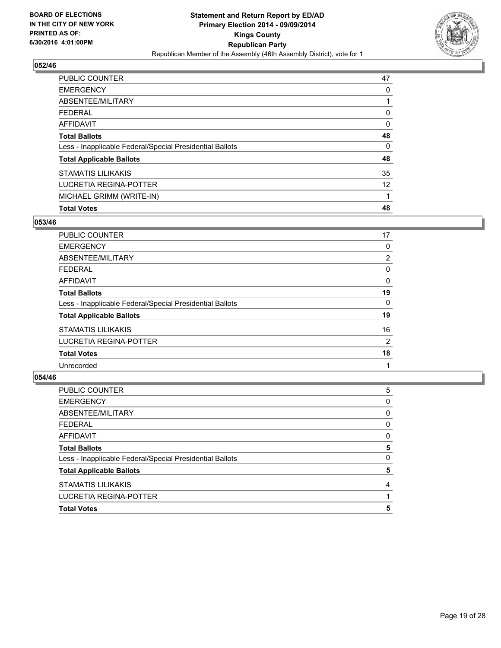

| PUBLIC COUNTER                                           | 47 |
|----------------------------------------------------------|----|
| <b>EMERGENCY</b>                                         | 0  |
| ABSENTEE/MILITARY                                        |    |
| FEDERAL                                                  | 0  |
| AFFIDAVIT                                                | 0  |
| <b>Total Ballots</b>                                     | 48 |
| Less - Inapplicable Federal/Special Presidential Ballots | 0  |
| <b>Total Applicable Ballots</b>                          | 48 |
| <b>STAMATIS LILIKAKIS</b>                                | 35 |
| <b>LUCRETIA REGINA-POTTER</b>                            | 12 |
| MICHAEL GRIMM (WRITE-IN)                                 |    |
| <b>Total Votes</b>                                       | 48 |

## **053/46**

| PUBLIC COUNTER                                           | 17             |
|----------------------------------------------------------|----------------|
| <b>EMERGENCY</b>                                         | 0              |
| ABSENTEE/MILITARY                                        | $\overline{2}$ |
| <b>FEDERAL</b>                                           | 0              |
| <b>AFFIDAVIT</b>                                         | 0              |
| <b>Total Ballots</b>                                     | 19             |
| Less - Inapplicable Federal/Special Presidential Ballots | 0              |
| <b>Total Applicable Ballots</b>                          | 19             |
| <b>STAMATIS LILIKAKIS</b>                                | 16             |
| LUCRETIA REGINA-POTTER                                   | 2              |
| <b>Total Votes</b>                                       | 18             |
| Unrecorded                                               |                |

| <b>Total Votes</b>                                       | 5 |
|----------------------------------------------------------|---|
| LUCRETIA REGINA-POTTER                                   |   |
| <b>STAMATIS LILIKAKIS</b>                                | 4 |
| <b>Total Applicable Ballots</b>                          | 5 |
| Less - Inapplicable Federal/Special Presidential Ballots | 0 |
| <b>Total Ballots</b>                                     | 5 |
| <b>AFFIDAVIT</b>                                         | 0 |
| <b>FEDERAL</b>                                           | 0 |
| ABSENTEE/MILITARY                                        | 0 |
| <b>EMERGENCY</b>                                         | 0 |
| PUBLIC COUNTER                                           | 5 |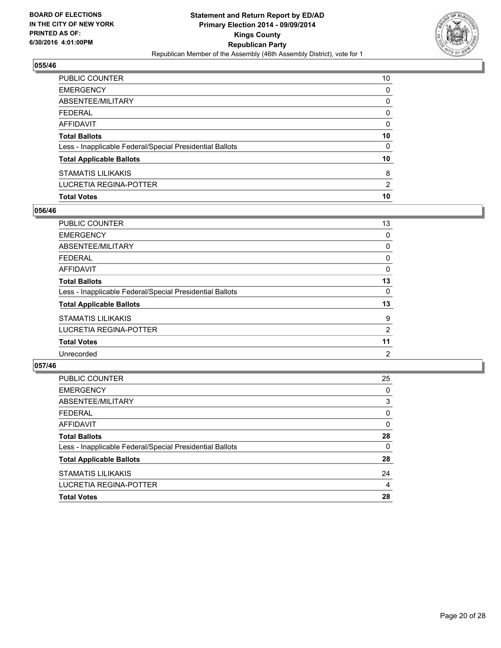

| <b>Total Votes</b>                                       | 10              |
|----------------------------------------------------------|-----------------|
| LUCRETIA REGINA-POTTER                                   | $\overline{2}$  |
| STAMATIS LILIKAKIS                                       | 8               |
| <b>Total Applicable Ballots</b>                          | 10 <sup>°</sup> |
| Less - Inapplicable Federal/Special Presidential Ballots | $\Omega$        |
| <b>Total Ballots</b>                                     | 10              |
| AFFIDAVIT                                                | 0               |
| <b>FEDERAL</b>                                           | $\mathbf{0}$    |
| ABSENTEE/MILITARY                                        | 0               |
| <b>EMERGENCY</b>                                         | $\Omega$        |
| PUBLIC COUNTER                                           | 10              |

## **056/46**

| <b>PUBLIC COUNTER</b>                                    | 13 |
|----------------------------------------------------------|----|
| <b>EMERGENCY</b>                                         | 0  |
| <b>ABSENTEE/MILITARY</b>                                 | 0  |
| <b>FEDERAL</b>                                           | 0  |
| <b>AFFIDAVIT</b>                                         | 0  |
| <b>Total Ballots</b>                                     | 13 |
| Less - Inapplicable Federal/Special Presidential Ballots | 0  |
| <b>Total Applicable Ballots</b>                          | 13 |
| <b>STAMATIS LILIKAKIS</b>                                | 9  |
| <b>LUCRETIA REGINA-POTTER</b>                            | 2  |
| <b>Total Votes</b>                                       | 11 |
| Unrecorded                                               | 2  |
|                                                          |    |

| PUBLIC COUNTER                                           | 25 |
|----------------------------------------------------------|----|
| <b>EMERGENCY</b>                                         | 0  |
| ABSENTEE/MILITARY                                        | 3  |
| <b>FEDERAL</b>                                           | 0  |
| AFFIDAVIT                                                | 0  |
| <b>Total Ballots</b>                                     | 28 |
| Less - Inapplicable Federal/Special Presidential Ballots | 0  |
| <b>Total Applicable Ballots</b>                          | 28 |
| <b>STAMATIS LILIKAKIS</b>                                | 24 |
| <b>LUCRETIA REGINA-POTTER</b>                            | 4  |
| <b>Total Votes</b>                                       | 28 |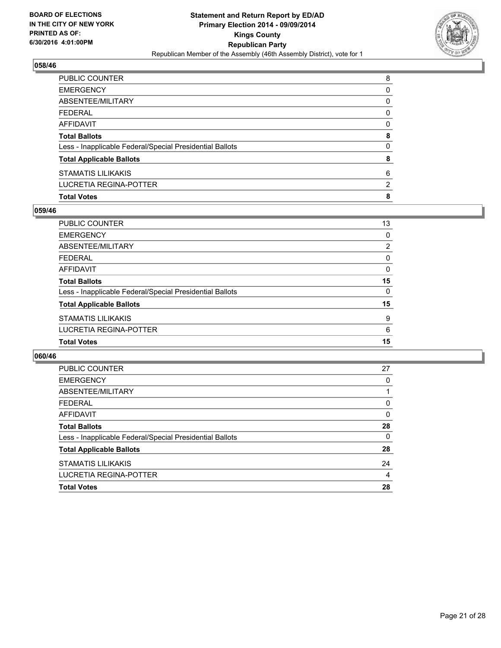

| PUBLIC COUNTER                                           | 8                     |
|----------------------------------------------------------|-----------------------|
| EMERGENCY                                                | 0                     |
| ABSENTEE/MILITARY                                        | 0                     |
| FEDERAL                                                  | 0                     |
| AFFIDAVIT                                                | 0                     |
| <b>Total Ballots</b>                                     | 8                     |
| Less - Inapplicable Federal/Special Presidential Ballots | $\mathbf{0}$          |
| <b>Total Applicable Ballots</b>                          | 8                     |
| STAMATIS LILIKAKIS                                       | 6                     |
| LUCRETIA REGINA-POTTER                                   | $\mathbf{2}^{\prime}$ |
| <b>Total Votes</b>                                       | 8                     |

## **059/46**

| PUBLIC COUNTER                                           | 13 |
|----------------------------------------------------------|----|
| <b>EMERGENCY</b>                                         | 0  |
| ABSENTEE/MILITARY                                        | 2  |
| <b>FEDERAL</b>                                           | 0  |
| <b>AFFIDAVIT</b>                                         | 0  |
| <b>Total Ballots</b>                                     | 15 |
| Less - Inapplicable Federal/Special Presidential Ballots | 0  |
| <b>Total Applicable Ballots</b>                          | 15 |
| <b>STAMATIS LILIKAKIS</b>                                | 9  |
| LUCRETIA REGINA-POTTER                                   | 6  |
| <b>Total Votes</b>                                       | 15 |

| <b>PUBLIC COUNTER</b>                                    | 27       |
|----------------------------------------------------------|----------|
| <b>EMERGENCY</b>                                         | 0        |
| ABSENTEE/MILITARY                                        |          |
| <b>FEDERAL</b>                                           | 0        |
| AFFIDAVIT                                                | 0        |
| <b>Total Ballots</b>                                     | 28       |
| Less - Inapplicable Federal/Special Presidential Ballots | $\Omega$ |
| <b>Total Applicable Ballots</b>                          | 28       |
| <b>STAMATIS LILIKAKIS</b>                                | 24       |
| LUCRETIA REGINA-POTTER                                   | 4        |
| <b>Total Votes</b>                                       | 28       |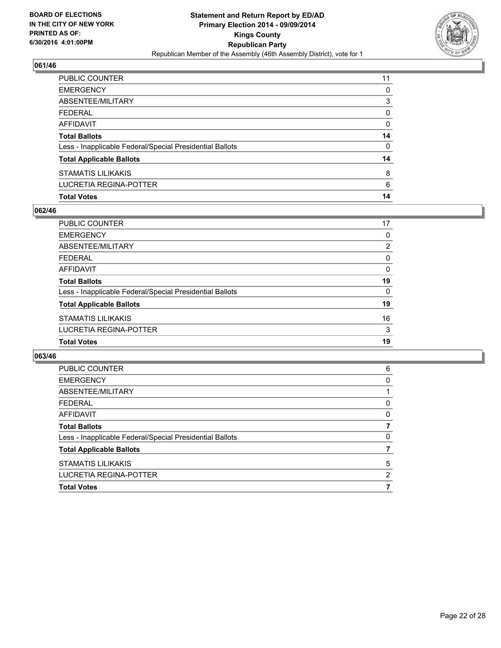

| PUBLIC COUNTER                                           | 11 |
|----------------------------------------------------------|----|
| <b>EMERGENCY</b>                                         | 0  |
| <b>ABSENTEE/MILITARY</b>                                 | 3  |
| <b>FEDERAL</b>                                           | 0  |
| AFFIDAVIT                                                | 0  |
| <b>Total Ballots</b>                                     | 14 |
| Less - Inapplicable Federal/Special Presidential Ballots | 0  |
| <b>Total Applicable Ballots</b>                          | 14 |
| STAMATIS LILIKAKIS                                       | 8  |
| LUCRETIA REGINA-POTTER                                   | 6  |
| <b>Total Votes</b>                                       | 14 |

## **062/46**

| <b>Total Votes</b>                                       | 19       |
|----------------------------------------------------------|----------|
| LUCRETIA REGINA-POTTER                                   | 3        |
| <b>STAMATIS LILIKAKIS</b>                                | 16       |
| <b>Total Applicable Ballots</b>                          | 19       |
| Less - Inapplicable Federal/Special Presidential Ballots | $\Omega$ |
| <b>Total Ballots</b>                                     | 19       |
| <b>AFFIDAVIT</b>                                         | $\Omega$ |
| <b>FEDERAL</b>                                           | 0        |
| ABSENTEE/MILITARY                                        | 2        |
| <b>EMERGENCY</b>                                         | 0        |
| PUBLIC COUNTER                                           | 17       |

| PUBLIC COUNTER                                           | 6 |
|----------------------------------------------------------|---|
| <b>EMERGENCY</b>                                         | 0 |
| ABSENTEE/MILITARY                                        |   |
| <b>FEDERAL</b>                                           | 0 |
| AFFIDAVIT                                                | 0 |
| <b>Total Ballots</b>                                     | 7 |
| Less - Inapplicable Federal/Special Presidential Ballots | 0 |
| <b>Total Applicable Ballots</b>                          |   |
| <b>STAMATIS LILIKAKIS</b>                                | 5 |
| LUCRETIA REGINA-POTTER                                   | 2 |
| <b>Total Votes</b>                                       |   |
|                                                          |   |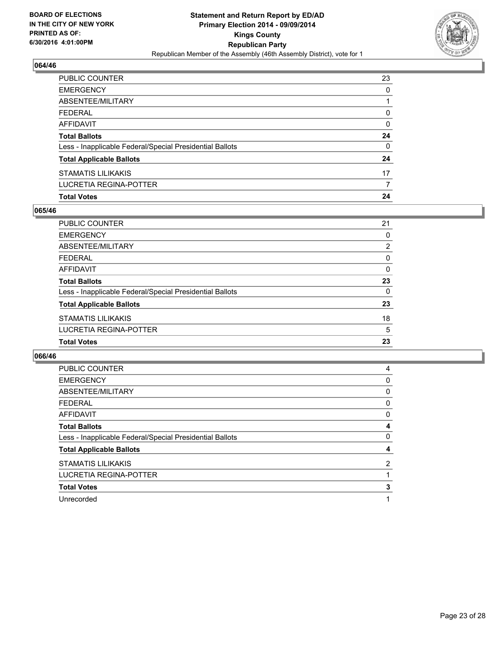

| PUBLIC COUNTER                                           | 23 |
|----------------------------------------------------------|----|
| <b>EMERGENCY</b>                                         | 0  |
| ABSENTEE/MILITARY                                        |    |
| <b>FEDERAL</b>                                           | 0  |
| <b>AFFIDAVIT</b>                                         | 0  |
| <b>Total Ballots</b>                                     | 24 |
| Less - Inapplicable Federal/Special Presidential Ballots | 0  |
| <b>Total Applicable Ballots</b>                          | 24 |
| <b>STAMATIS LILIKAKIS</b>                                | 17 |
| LUCRETIA REGINA-POTTER                                   |    |
| <b>Total Votes</b>                                       | 24 |

## **065/46**

| PUBLIC COUNTER                                           | 21       |
|----------------------------------------------------------|----------|
| <b>EMERGENCY</b>                                         | 0        |
| ABSENTEE/MILITARY                                        | 2        |
| <b>FEDERAL</b>                                           | 0        |
| <b>AFFIDAVIT</b>                                         | 0        |
| <b>Total Ballots</b>                                     | 23       |
| Less - Inapplicable Federal/Special Presidential Ballots | $\Omega$ |
| <b>Total Applicable Ballots</b>                          | 23       |
| <b>STAMATIS LILIKAKIS</b>                                | 18       |
| <b>LUCRETIA REGINA-POTTER</b>                            | 5        |
| <b>Total Votes</b>                                       | 23       |

| PUBLIC COUNTER                                           | 4 |
|----------------------------------------------------------|---|
| <b>EMERGENCY</b>                                         | 0 |
| ABSENTEE/MILITARY                                        | 0 |
| <b>FEDERAL</b>                                           | 0 |
| AFFIDAVIT                                                | 0 |
| <b>Total Ballots</b>                                     | 4 |
| Less - Inapplicable Federal/Special Presidential Ballots | 0 |
| <b>Total Applicable Ballots</b>                          | 4 |
| <b>STAMATIS LILIKAKIS</b>                                | 2 |
| LUCRETIA REGINA-POTTER                                   |   |
| <b>Total Votes</b>                                       | 3 |
| Unrecorded                                               |   |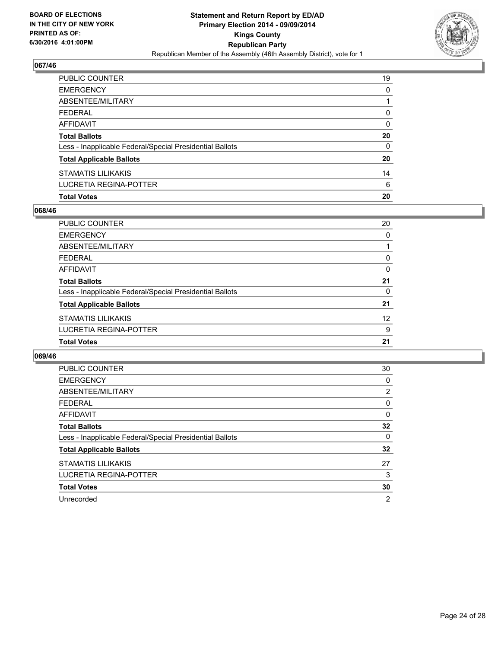

| <b>Total Votes</b>                                       | 20       |
|----------------------------------------------------------|----------|
| LUCRETIA REGINA-POTTER                                   | 6        |
| STAMATIS LILIKAKIS                                       | 14       |
| <b>Total Applicable Ballots</b>                          | 20       |
| Less - Inapplicable Federal/Special Presidential Ballots | $\Omega$ |
| <b>Total Ballots</b>                                     | 20       |
| AFFIDAVIT                                                | 0        |
| <b>FEDERAL</b>                                           | $\Omega$ |
| ABSENTEE/MILITARY                                        |          |
| <b>EMERGENCY</b>                                         | $\Omega$ |
| PUBLIC COUNTER                                           | 19       |

## **068/46**

| PUBLIC COUNTER                                           | 20       |
|----------------------------------------------------------|----------|
| <b>EMERGENCY</b>                                         | 0        |
| ABSENTEE/MILITARY                                        |          |
| <b>FEDERAL</b>                                           | 0        |
| <b>AFFIDAVIT</b>                                         | $\Omega$ |
| <b>Total Ballots</b>                                     | 21       |
| Less - Inapplicable Federal/Special Presidential Ballots | 0        |
| <b>Total Applicable Ballots</b>                          | 21       |
| <b>STAMATIS LILIKAKIS</b>                                | 12       |
| LUCRETIA REGINA-POTTER                                   | 9        |
| <b>Total Votes</b>                                       | 21       |

| <b>PUBLIC COUNTER</b>                                    | 30 |
|----------------------------------------------------------|----|
| <b>EMERGENCY</b>                                         | 0  |
| ABSENTEE/MILITARY                                        | 2  |
| <b>FEDERAL</b>                                           | 0  |
| AFFIDAVIT                                                | 0  |
| <b>Total Ballots</b>                                     | 32 |
| Less - Inapplicable Federal/Special Presidential Ballots | 0  |
| <b>Total Applicable Ballots</b>                          | 32 |
| <b>STAMATIS LILIKAKIS</b>                                | 27 |
| <b>LUCRETIA REGINA-POTTER</b>                            | 3  |
| <b>Total Votes</b>                                       | 30 |
| Unrecorded                                               | 2  |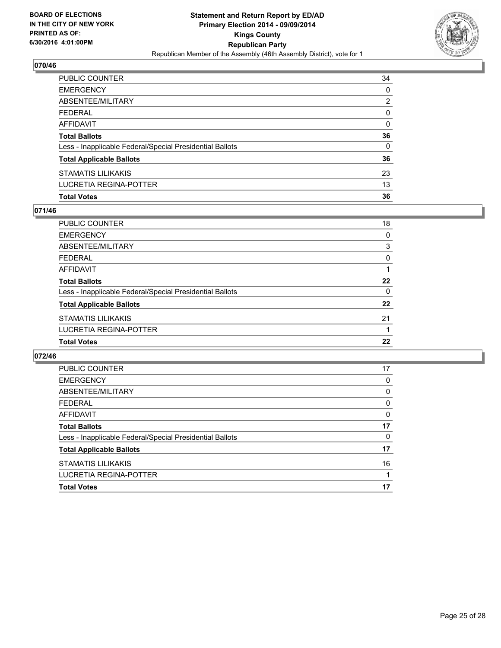

| PUBLIC COUNTER                                           | 34           |
|----------------------------------------------------------|--------------|
| EMERGENCY                                                | 0            |
| ABSENTEE/MILITARY                                        | 2            |
| FEDERAL                                                  | 0            |
| AFFIDAVIT                                                | 0            |
| Total Ballots                                            | 36           |
| Less - Inapplicable Federal/Special Presidential Ballots | $\mathbf{0}$ |
| <b>Total Applicable Ballots</b>                          | 36           |
| STAMATIS LILIKAKIS                                       | 23           |
| LUCRETIA REGINA-POTTER                                   | 13           |
| <b>Total Votes</b>                                       | 36           |

## **071/46**

| <b>PUBLIC COUNTER</b>                                    | 18       |
|----------------------------------------------------------|----------|
| <b>EMERGENCY</b>                                         | 0        |
| <b>ABSENTEE/MILITARY</b>                                 | 3        |
| <b>FEDERAL</b>                                           | 0        |
| <b>AFFIDAVIT</b>                                         |          |
| <b>Total Ballots</b>                                     | 22       |
| Less - Inapplicable Federal/Special Presidential Ballots | $\Omega$ |
| <b>Total Applicable Ballots</b>                          | 22       |
| <b>STAMATIS LILIKAKIS</b>                                | 21       |
| <b>LUCRETIA REGINA-POTTER</b>                            |          |
| <b>Total Votes</b>                                       | 22       |

| <b>PUBLIC COUNTER</b>                                    | 17 |
|----------------------------------------------------------|----|
| <b>EMERGENCY</b>                                         | 0  |
| ABSENTEE/MILITARY                                        | 0  |
| <b>FEDERAL</b>                                           | 0  |
| AFFIDAVIT                                                | 0  |
| <b>Total Ballots</b>                                     | 17 |
| Less - Inapplicable Federal/Special Presidential Ballots | 0  |
| <b>Total Applicable Ballots</b>                          | 17 |
| <b>STAMATIS LILIKAKIS</b>                                | 16 |
| LUCRETIA REGINA-POTTER                                   | 1  |
| <b>Total Votes</b>                                       | 17 |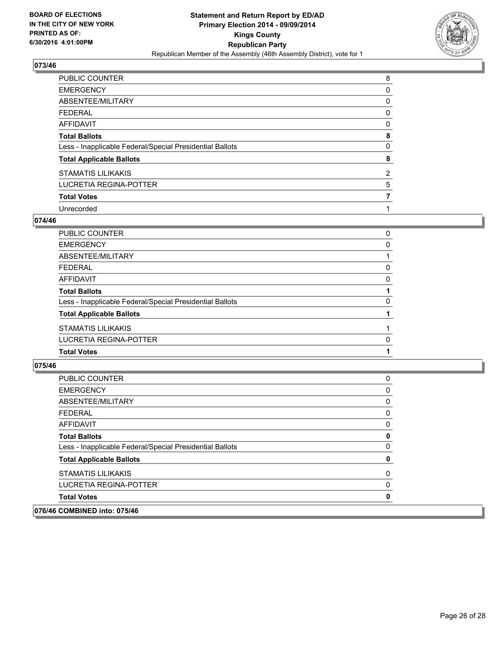

| <b>PUBLIC COUNTER</b>                                    | 8 |
|----------------------------------------------------------|---|
| <b>EMERGENCY</b>                                         | 0 |
| ABSENTEE/MILITARY                                        | 0 |
| <b>FEDERAL</b>                                           | 0 |
| <b>AFFIDAVIT</b>                                         | 0 |
| <b>Total Ballots</b>                                     | 8 |
| Less - Inapplicable Federal/Special Presidential Ballots | 0 |
| <b>Total Applicable Ballots</b>                          | 8 |
| <b>STAMATIS LILIKAKIS</b>                                | 2 |
| <b>LUCRETIA REGINA-POTTER</b>                            | 5 |
| <b>Total Votes</b>                                       | 7 |
| Unrecorded                                               |   |

#### **074/46**

| PUBLIC COUNTER                                           | 0 |
|----------------------------------------------------------|---|
| <b>EMERGENCY</b>                                         | 0 |
| <b>ABSENTEE/MILITARY</b>                                 |   |
| <b>FEDERAL</b>                                           | 0 |
| AFFIDAVIT                                                | 0 |
| <b>Total Ballots</b>                                     |   |
| Less - Inapplicable Federal/Special Presidential Ballots | 0 |
| <b>Total Applicable Ballots</b>                          |   |
| STAMATIS LILIKAKIS                                       |   |
| LUCRETIA REGINA-POTTER                                   | 0 |
| <b>Total Votes</b>                                       |   |
|                                                          |   |

| 076/46 COMBINED into: 075/46                             |   |
|----------------------------------------------------------|---|
| <b>Total Votes</b>                                       | 0 |
| LUCRETIA REGINA-POTTER                                   | 0 |
| <b>STAMATIS LILIKAKIS</b>                                | 0 |
| <b>Total Applicable Ballots</b>                          | 0 |
| Less - Inapplicable Federal/Special Presidential Ballots | 0 |
| <b>Total Ballots</b>                                     | 0 |
| AFFIDAVIT                                                | 0 |
| <b>FEDERAL</b>                                           | 0 |
| ABSENTEE/MILITARY                                        | 0 |
| <b>EMERGENCY</b>                                         | 0 |
| <b>PUBLIC COUNTER</b>                                    | 0 |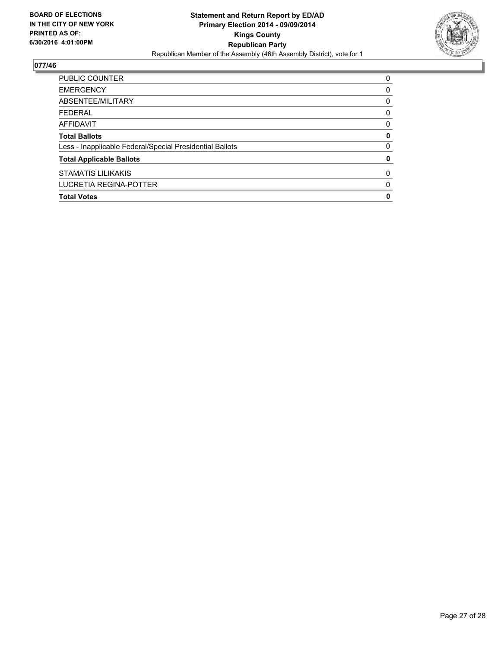

| PUBLIC COUNTER                                           | 0 |
|----------------------------------------------------------|---|
| <b>EMERGENCY</b>                                         | 0 |
| ABSENTEE/MILITARY                                        | 0 |
| <b>FEDERAL</b>                                           | 0 |
| AFFIDAVIT                                                | 0 |
| <b>Total Ballots</b>                                     | 0 |
| Less - Inapplicable Federal/Special Presidential Ballots | 0 |
| <b>Total Applicable Ballots</b>                          | 0 |
| <b>STAMATIS LILIKAKIS</b>                                | 0 |
| LUCRETIA REGINA-POTTER                                   | 0 |
| <b>Total Votes</b>                                       | 0 |